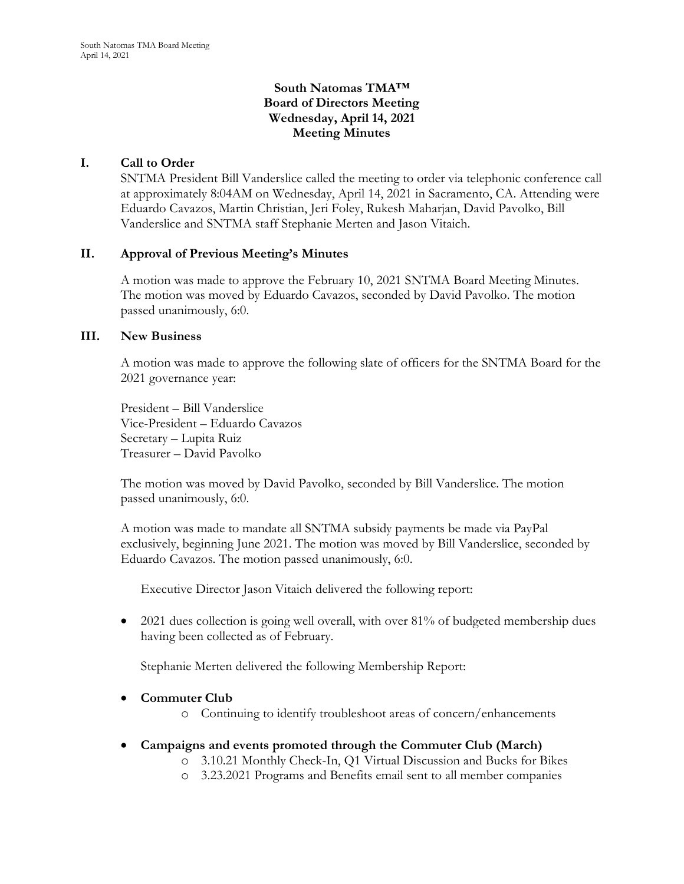# **South Natomas TMA™ Board of Directors Meeting Wednesday, April 14, 2021 Meeting Minutes**

# **I. Call to Order**

SNTMA President Bill Vanderslice called the meeting to order via telephonic conference call at approximately 8:04AM on Wednesday, April 14, 2021 in Sacramento, CA. Attending were Eduardo Cavazos, Martin Christian, Jeri Foley, Rukesh Maharjan, David Pavolko, Bill Vanderslice and SNTMA staff Stephanie Merten and Jason Vitaich.

## **II. Approval of Previous Meeting's Minutes**

A motion was made to approve the February 10, 2021 SNTMA Board Meeting Minutes. The motion was moved by Eduardo Cavazos, seconded by David Pavolko. The motion passed unanimously, 6:0.

### **III. New Business**

A motion was made to approve the following slate of officers for the SNTMA Board for the 2021 governance year:

President – Bill Vanderslice Vice-President – Eduardo Cavazos Secretary – Lupita Ruiz Treasurer – David Pavolko

The motion was moved by David Pavolko, seconded by Bill Vanderslice. The motion passed unanimously, 6:0.

A motion was made to mandate all SNTMA subsidy payments be made via PayPal exclusively, beginning June 2021. The motion was moved by Bill Vanderslice, seconded by Eduardo Cavazos. The motion passed unanimously, 6:0.

Executive Director Jason Vitaich delivered the following report:

• 2021 dues collection is going well overall, with over 81% of budgeted membership dues having been collected as of February.

Stephanie Merten delivered the following Membership Report:

## • **Commuter Club**

- o Continuing to identify troubleshoot areas of concern/enhancements
- **Campaigns and events promoted through the Commuter Club (March)**
	- o 3.10.21 Monthly Check-In, Q1 Virtual Discussion and Bucks for Bikes
	- o 3.23.2021 Programs and Benefits email sent to all member companies